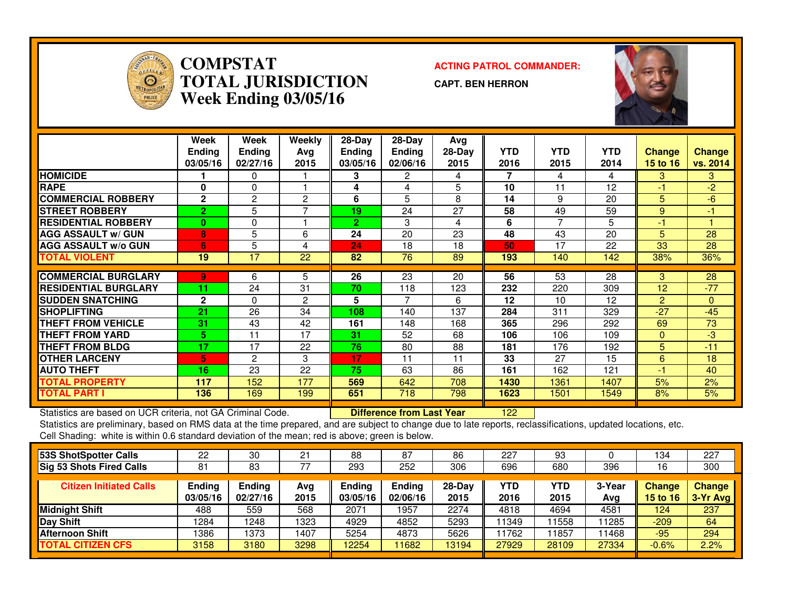

### **COMPSTATACTING PATROL COMMANDER:**<br> **ACTING PATROL COMMANDER: TOTAL JURISDICTIONWeek Ending 03/05/16**

**CAPT. BEN HERRON**



|                             | Week<br><b>Ending</b><br>03/05/16 | Week<br><b>Ending</b><br>02/27/16 | Weekly<br>Ava<br>2015 | $28-Day$<br><b>Ending</b><br>03/05/16 | $28-Day$<br><b>Ending</b><br>02/06/16 | Avg<br>$28-Day$<br>2015 | <b>YTD</b><br>2016 | <b>YTD</b><br>2015 | YTD.<br>2014 | <b>Change</b><br><b>15 to 16</b> | <b>Change</b><br>vs. 2014 |
|-----------------------------|-----------------------------------|-----------------------------------|-----------------------|---------------------------------------|---------------------------------------|-------------------------|--------------------|--------------------|--------------|----------------------------------|---------------------------|
| <b>HOMICIDE</b>             |                                   | 0                                 |                       | 3                                     | 2                                     | 4                       | 7                  | 4                  | 4            | 3                                | 3                         |
| <b>RAPE</b>                 | $\bf{0}$                          | 0                                 |                       | 4                                     | 4                                     | 5                       | 10                 | 11                 | 12           | -1                               | $-2$                      |
| <b>COMMERCIAL ROBBERY</b>   | $\mathbf{2}$                      | $\overline{2}$                    | $\overline{2}$        | 6                                     | 5                                     | 8                       | 14                 | 9                  | 20           | 5                                | -6                        |
| <b>STREET ROBBERY</b>       | 2.                                | 5                                 | ⇁                     | 19                                    | 24                                    | 27                      | 58                 | 49                 | 59           | 9                                | $-1$                      |
| <b>RESIDENTIAL ROBBERY</b>  | $\mathbf{0}$                      | 0                                 |                       | 2                                     | 3                                     | 4                       | 6                  | ⇁                  | 5            | -1                               |                           |
| <b>AGG ASSAULT w/ GUN</b>   | 8                                 | 5                                 | 6                     | 24                                    | 20                                    | 23                      | 48                 | 43                 | 20           | 5                                | 28                        |
| <b>AGG ASSAULT w/o GUN</b>  | 6                                 | 5                                 | 4                     | 24                                    | 18                                    | 18                      | 50                 | 17                 | 22           | 33                               | 28                        |
| <b>TOTAL VIOLENT</b>        | 19                                | 17                                | 22                    | 82                                    | 76                                    | 89                      | 193                | 140                | 142          | 38%                              | 36%                       |
|                             |                                   |                                   |                       |                                       |                                       |                         |                    |                    |              |                                  |                           |
| <b>COMMERCIAL BURGLARY</b>  | 9                                 | 6                                 | 5                     | 26                                    | 23                                    | 20                      | 56                 | 53                 | 28           | 3                                | 28                        |
| <b>RESIDENTIAL BURGLARY</b> | 11                                | 24                                | 31                    | 70                                    | 118                                   | 123                     | 232                | 220                | 309          | 12                               | $-77$                     |
| <b>SUDDEN SNATCHING</b>     | $\mathbf{2}$                      | 0                                 | 2                     | 5                                     | 7                                     | 6                       | 12                 | 10                 | 12           | $\overline{2}$                   | $\overline{0}$            |
| <b>SHOPLIFTING</b>          | 21                                | 26                                | 34                    | 108                                   | 140                                   | 137                     | 284                | 311                | 329          | $-27$                            | $-45$                     |
| <b>THEFT FROM VEHICLE</b>   | 31                                | 43                                | 42                    | 161                                   | 148                                   | 168                     | 365                | 296                | 292          | 69                               | 73                        |
| <b>THEFT FROM YARD</b>      | 5.                                | 11                                | 17                    | 31                                    | 52                                    | 68                      | 106                | 106                | 109          | $\Omega$                         | -3                        |
| <b>THEFT FROM BLDG</b>      | 17                                | 17                                | 22                    | 76                                    | 80                                    | 88                      | 181                | 176                | 192          | 5                                | $-11$                     |
| <b>OTHER LARCENY</b>        | 5.                                | $\overline{2}$                    | 3                     | 17                                    | 11                                    | 11                      | 33                 | 27                 | 15           | 6                                | 18                        |
| <b>IAUTO THEFT</b>          | 16                                | 23                                | 22                    | 75                                    | 63                                    | 86                      | 161                | 162                | 121          | -1                               | 40                        |
| <b>TOTAL PROPERTY</b>       | 117                               | 152                               | 177                   | 569                                   | 642                                   | 708                     | 1430               | 1361               | 1407         | 5%                               | 2%                        |
| <b>TOTAL PART I</b>         | 136                               | 169                               | 199                   | 651                                   | 718                                   | 798                     | 1623               | 1501               | 1549         | 8%                               | 5%                        |

Statistics are based on UCR criteria, not GA Criminal Code. **Difference from Last Year** 

Statistics are based on UCR criteria, not GA Criminal Code. **[12] Difference from Last Year [122] [22] Statistics**<br>Statistics are preliminary, based on RMS data at the time prepared, and are subject to change due to late r Cell Shading: white is within 0.6 standard deviation of the mean; red is above; green is below.

| 53S ShotSpotter Calls          | 22                 | 30                        | 21          | 88                 | 87                        | 86               | 227                | 93          |               | 134                | 227                  |
|--------------------------------|--------------------|---------------------------|-------------|--------------------|---------------------------|------------------|--------------------|-------------|---------------|--------------------|----------------------|
| Sig 53 Shots Fired Calls       | 81                 | 83                        | 77          | 293                | 252                       | 306              | 696                | 680         | 396           | 16                 | 300                  |
| <b>Citizen Initiated Calls</b> | Ending<br>03/05/16 | <b>Ending</b><br>02/27/16 | Avg<br>2015 | Ending<br>03/05/16 | <b>Ending</b><br>02/06/16 | $28-Day$<br>2015 | <b>YTD</b><br>2016 | YTD<br>2015 | 3-Year<br>Avg | Change<br>15 to 16 | Change<br>$3-Yr$ Avg |
| Midnight Shift                 | 488                | 559                       | 568         | 2071               | 1957                      | 2274             | 4818               | 4694        | 4581          | 124                | 237                  |
| Day Shift                      | 1284               | 248                       | 1323        | 4929               | 4852                      | 5293             | 11349              | 1558        | 11285         | $-209$             | 64                   |
| <b>Afternoon Shift</b>         | 1386               | 1373                      | 1407        | 5254               | 4873                      | 5626             | 11762              | 1857        | 11468         | $-95$              | 294                  |
| <b>TOTAL CITIZEN CFS</b>       | 3158               | 3180                      | 3298        | 12254              | 1682                      | 13194            | 27929              | 28109       | 27334         | $-0.6%$            | 2.2%                 |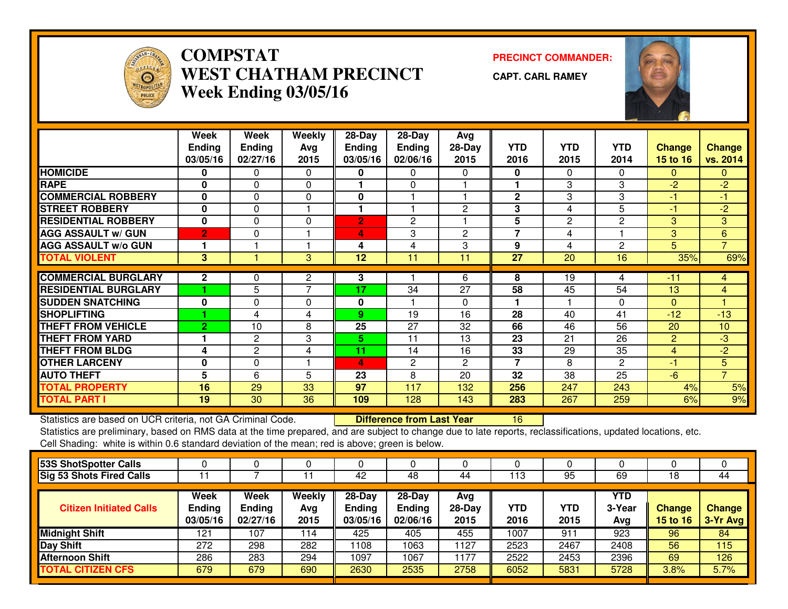

# **COMPSTAT PRECINCT COMMANDER: WEST CHATHAM PRECINCTWeek Ending 03/05/16**

**CAPT. CARL RAMEY**



|                                                             | Week                      | Week               | Weekly         | 28-Day                    | 28-Day                           | Avg              |                         |                    |                    |                                  |                           |
|-------------------------------------------------------------|---------------------------|--------------------|----------------|---------------------------|----------------------------------|------------------|-------------------------|--------------------|--------------------|----------------------------------|---------------------------|
|                                                             | <b>Ending</b><br>03/05/16 | Ending<br>02/27/16 | Avg<br>2015    | <b>Ending</b><br>03/05/16 | Ending<br>02/06/16               | $28-Day$<br>2015 | <b>YTD</b><br>2016      | <b>YTD</b><br>2015 | <b>YTD</b><br>2014 | <b>Change</b><br><b>15 to 16</b> | <b>Change</b><br>vs. 2014 |
| <b>HOMICIDE</b>                                             | 0                         | $\Omega$           | 0              | 0                         | 0                                | 0                | 0                       | $\mathbf{0}$       | $\Omega$           | $\Omega$                         | $\Omega$                  |
| <b>RAPE</b>                                                 | $\bf{0}$                  | $\Omega$           | $\Omega$       |                           | $\mathbf{0}$                     |                  |                         | 3                  | 3                  | $-2$                             | $-2$                      |
| <b>COMMERCIAL ROBBERY</b>                                   | $\bf{0}$                  | $\Omega$           | $\Omega$       | 0                         |                                  |                  | $\mathbf{2}$            | 3                  | 3                  | -1                               | $-1$                      |
| <b>STREET ROBBERY</b>                                       | $\mathbf{0}$              | 0                  |                |                           |                                  | $\overline{2}$   | 3                       | 4                  | 5                  | $-1$                             | $-2$                      |
| <b>RESIDENTIAL ROBBERY</b>                                  | $\mathbf{0}$              | $\Omega$           | 0              | 2                         | 2                                |                  | 5                       | $\mathbf{2}$       | $\overline{2}$     | 3                                | 3                         |
| <b>AGG ASSAULT w/ GUN</b>                                   | $\overline{2}$            | $\Omega$           |                | 4                         | 3                                | $\overline{2}$   | $\overline{7}$          | 4                  |                    | 3                                | 6                         |
| <b>AGG ASSAULT w/o GUN</b>                                  |                           |                    |                | 4                         | 4                                | 3                | 9                       | 4                  | $\overline{2}$     | 5                                | $\overline{7}$            |
| <b>TOTAL VIOLENT</b>                                        | 3                         |                    | 3              | 12                        | 11                               | 11               | 27                      | 20                 | 16                 | 35%                              | 69%                       |
|                                                             |                           |                    |                |                           |                                  |                  |                         |                    |                    |                                  |                           |
| <b>COMMERCIAL BURGLARY</b>                                  | $\mathbf{2}$              | 0                  | $\overline{2}$ | 3                         |                                  | 6                | 8                       | 19                 | 4                  | $-11$                            | 4                         |
| <b>RESIDENTIAL BURGLARY</b>                                 |                           | 5                  | $\overline{7}$ | 17                        | 34                               | 27               | 58                      | 45                 | 54                 | 13                               | $\overline{4}$            |
| <b>SUDDEN SNATCHING</b>                                     | $\bf{0}$                  | 0                  | $\Omega$       | 0                         |                                  | 0                |                         |                    | $\Omega$           | $\Omega$                         |                           |
| <b>SHOPLIFTING</b>                                          |                           | 4                  | 4              | 9                         | 19                               | 16               | 28                      | 40                 | 41                 | $-12$                            | $-13$                     |
| <b>THEFT FROM VEHICLE</b>                                   | $\overline{2}$            | 10                 | 8              | 25                        | 27                               | 32               | 66                      | 46                 | 56                 | 20                               | 10                        |
| <b>THEFT FROM YARD</b>                                      |                           | $\mathbf{2}$       | 3              | 5.                        | 11                               | 13               | 23                      | 21                 | 26                 | $\overline{2}$                   | $-3$                      |
| <b>THEFT FROM BLDG</b>                                      | 4                         | $\overline{2}$     | 4              | 11                        | 14                               | 16               | 33                      | 29                 | 35                 | 4                                | $-2$                      |
| <b>OTHER LARCENY</b>                                        | 0                         | $\Omega$           |                | 4                         | $\mathbf{2}$                     | $\overline{2}$   | $\overline{\mathbf{z}}$ | 8                  | $\overline{2}$     | -1                               | 5                         |
| <b>AUTO THEFT</b>                                           | 5                         | 6                  | 5              | 23                        | 8                                | 20               | 32                      | 38                 | 25                 | $-6$                             | $\overline{7}$            |
| <b>TOTAL PROPERTY</b>                                       | 16                        | 29                 | 33             | 97                        | 117                              | 132              | 256                     | 247                | 243                | 4%                               | 5%                        |
| <b>TOTAL PART I</b>                                         | 19                        | 30                 | 36             | 109                       | 128                              | 143              | 283                     | 267                | 259                | 6%                               | 9%                        |
| Statistics are based on UCR criteria, not GA Criminal Code. |                           |                    |                |                           | <b>Difference from Last Year</b> |                  | 16                      |                    |                    |                                  |                           |

Statistics are based on UCR criteria, not GA Criminal Code. **Difference from Last Year** 

| 53S ShotSpotter Calls           |                                   |                                   |                       |                                     |                                       |                         |                    |             |                      |                                  |                           |
|---------------------------------|-----------------------------------|-----------------------------------|-----------------------|-------------------------------------|---------------------------------------|-------------------------|--------------------|-------------|----------------------|----------------------------------|---------------------------|
| <b>Sig 53 Shots Fired Calls</b> |                                   |                                   |                       | 42                                  | 48                                    | 44                      | 113                | 95          | 69                   | 18                               | 44                        |
| <b>Citizen Initiated Calls</b>  | Week<br><b>Ending</b><br>03/05/16 | Week<br><b>Ending</b><br>02/27/16 | Weekly<br>Avg<br>2015 | 28-Day<br><b>Ending</b><br>03/05/16 | $28-Dav$<br><b>Ending</b><br>02/06/16 | Avg<br>$28-Day$<br>2015 | <b>YTD</b><br>2016 | YTD<br>2015 | YTD<br>3-Year<br>Avg | <b>Change</b><br><b>15 to 16</b> | <b>Change</b><br>3-Yr Avg |
| <b>Midnight Shift</b>           | 121                               | 107                               | 114                   | 425                                 | 405                                   | 455                     | 1007               | 911         | 923                  | 96                               | 84                        |
| Day Shift                       | 272                               | 298                               | 282                   | 1108                                | 1063                                  | 1127                    | 2523               | 2467        | 2408                 | 56                               | 115                       |
| <b>Afternoon Shift</b>          | 286                               | 283                               | 294                   | 1097                                | 067                                   | 1177                    | 2522               | 2453        | 2396                 | 69                               | 126                       |
| <b>TOTAL CITIZEN CFS</b>        | 679                               | 679                               | 690                   | 2630                                | 2535                                  | 2758                    | 6052               | 5831        | 5728                 | 3.8%                             | 5.7%                      |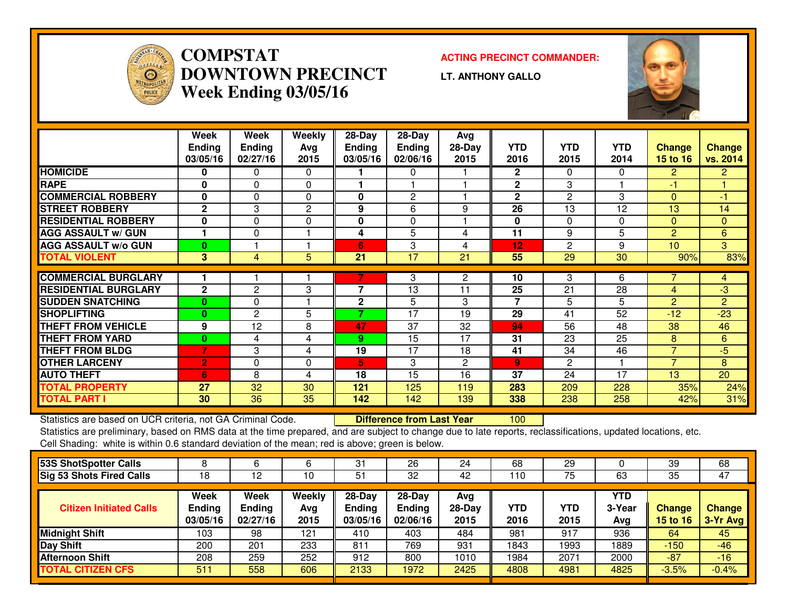

# **COMPSTAT ACTING PRECINCT COMMANDER: DOWNTOWN PRECINCTWeek Ending 03/05/16**

**LT. ANTHONY GALLO**



|                                                             | Week<br><b>Ending</b><br>03/05/16 | Week<br><b>Ending</b><br>02/27/16 | Weekly<br>Avg<br>2015 | 28-Day<br><b>Ending</b><br>03/05/16 | $28-Day$<br><b>Ending</b><br>02/06/16 | Avg<br>$28-Day$<br>2015 | <b>YTD</b><br>2016 | <b>YTD</b><br>2015 | <b>YTD</b><br>2014 | <b>Change</b><br>15 to 16 | <b>Change</b><br>vs. 2014 |
|-------------------------------------------------------------|-----------------------------------|-----------------------------------|-----------------------|-------------------------------------|---------------------------------------|-------------------------|--------------------|--------------------|--------------------|---------------------------|---------------------------|
| <b>HOMICIDE</b>                                             | 0                                 | 0                                 | $\Omega$              |                                     | 0                                     |                         | $\mathbf{2}$       | 0                  | 0                  | $\overline{2}$            | $\overline{2}$            |
| <b>RAPE</b>                                                 | $\bf{0}$                          | $\Omega$                          | $\Omega$              |                                     |                                       |                         | $\mathbf{2}$       | 3                  |                    | $-1$                      |                           |
| <b>COMMERCIAL ROBBERY</b>                                   | $\bf{0}$                          | $\Omega$                          | $\Omega$              | $\bf{0}$                            | 2                                     |                         | $\mathbf{2}$       | $\overline{2}$     | 3                  | $\Omega$                  | $-1$                      |
| <b>STREET ROBBERY</b>                                       | $\mathbf{2}$                      | 3                                 | 2                     | 9                                   | 6                                     | 9                       | 26                 | 13                 | 12                 | 13                        | 14                        |
| <b>RESIDENTIAL ROBBERY</b>                                  | $\bf{0}$                          | 0                                 | 0                     | 0                                   | 0                                     |                         | 0                  | 0                  | $\Omega$           | $\mathbf{0}$              | $\mathbf{0}$              |
| <b>AGG ASSAULT w/ GUN</b>                                   |                                   | 0                                 |                       | 4                                   | 5                                     | 4                       | 11                 | 9                  | 5                  | $\overline{2}$            | 6                         |
| <b>AGG ASSAULT w/o GUN</b>                                  | $\bf{0}$                          |                                   |                       | 6                                   | 3                                     | 4                       | 12                 | $\mathbf{2}$       | 9                  | 10                        | 3                         |
| <b>TOTAL VIOLENT</b>                                        | 3                                 | 4                                 | $5\phantom{.0}$       | 21                                  | 17                                    | 21                      | 55                 | 29                 | 30                 | 90%                       | 83%                       |
|                                                             |                                   |                                   |                       |                                     |                                       |                         |                    |                    |                    |                           |                           |
| <b>COMMERCIAL BURGLARY</b>                                  |                                   |                                   |                       | 7                                   | 3                                     | $\mathbf{2}$            | 10                 | 3                  | 6                  |                           | 4                         |
| <b>RESIDENTIAL BURGLARY</b>                                 | $\mathbf{2}$                      | $\mathbf{2}$                      | 3                     | 7                                   | 13                                    | 11                      | 25                 | 21                 | 28                 | 4                         | -3                        |
| <b>SUDDEN SNATCHING</b>                                     | $\mathbf{0}$                      | 0                                 |                       | $\mathbf{2}$                        | 5                                     | 3                       | $\overline{7}$     | 5                  | 5                  | $\overline{2}$            | $\overline{2}$            |
| <b>SHOPLIFTING</b>                                          | $\mathbf{0}$                      | $\mathbf{2}$                      | 5                     | 7                                   | 17                                    | 19                      | 29                 | 41                 | 52                 | $-12$                     | $-23$                     |
| <b>THEFT FROM VEHICLE</b>                                   | 9                                 | 12                                | 8                     | 47                                  | 37                                    | 32                      | 94                 | 56                 | 48                 | 38                        | 46                        |
| <b>THEFT FROM YARD</b>                                      | $\bf{0}$                          | 4                                 | 4                     | 9                                   | $\overline{15}$                       | 17                      | 31                 | 23                 | 25                 | 8                         | 6                         |
| <b>THEFT FROM BLDG</b>                                      | 7                                 | 3                                 | 4                     | 19                                  | 17                                    | 18                      | 41                 | 34                 | 46                 | $\overline{7}$            | $-5$                      |
| <b>OTHER LARCENY</b>                                        | $\overline{2}$                    | 0                                 | $\Omega$              | 5.                                  | 3                                     | $\overline{2}$          | $\overline{9}$     | $\overline{2}$     |                    | $\overline{7}$            | 8                         |
| <b>AUTO THEFT</b>                                           | 6                                 | 8                                 | 4                     | 18                                  | 15                                    | 16                      | 37                 | 24                 | 17                 | 13                        | 20                        |
| <b>TOTAL PROPERTY</b>                                       | 27                                | 32                                | 30                    | 121                                 | 125                                   | 119                     | 283                | 209                | 228                | 35%                       | 24%                       |
| <b>TOTAL PART I</b>                                         | 30                                | 36                                | 35                    | 142                                 | 142                                   | 139                     | 338                | 238                | 258                | 42%                       | 31%                       |
| Statistics are based on UCR criteria, not GA Criminal Code. |                                   |                                   |                       |                                     | <b>Difference from Last Year</b>      |                         | 100                |                    |                    |                           |                           |

Statistics are based on UCR criteria, not GA Criminal Code. **Difference from Last Year** 

|                           |                           |             | 31                        | 26                        | 24             | 68          | 29          |               | 39                               | 68<br>47                  |
|---------------------------|---------------------------|-------------|---------------------------|---------------------------|----------------|-------------|-------------|---------------|----------------------------------|---------------------------|
| Week                      | Week                      | Weekly      | 28-Day                    | $28-Dav$                  | Ava            |             |             | <b>YTD</b>    |                                  |                           |
| <b>Ending</b><br>03/05/16 | <b>Ending</b><br>02/27/16 | Avg<br>2015 | <b>Ending</b><br>03/05/16 | <b>Ending</b><br>02/06/16 | 28-Day<br>2015 | YTD<br>2016 | YTD<br>2015 | 3-Year<br>Avg | <b>Change</b><br><b>15 to 16</b> | <b>Change</b><br>3-Yr Avg |
| 103                       | 98                        | 121         | 410                       | 403                       | 484            | 981         | 917         | 936           | 64                               | 45                        |
| 200                       | 201                       | 233         | 811                       | 769                       | 931            | 1843        | 1993        | 1889          | $-150$                           | $-46$                     |
| 208                       | 259                       | 252         | 912                       | 800                       | 1010           | 1984        | 2071        | 2000          | $-87$                            | $-16$                     |
| 511                       | 558                       | 606         | 2133                      | 1972                      | 2425           | 4808        | 4981        | 4825          | $-3.5%$                          | $-0.4%$                   |
|                           | 18                        | 12          | 10                        | 51                        | 32             | 42          | 110         | 75            | 63                               | 35                        |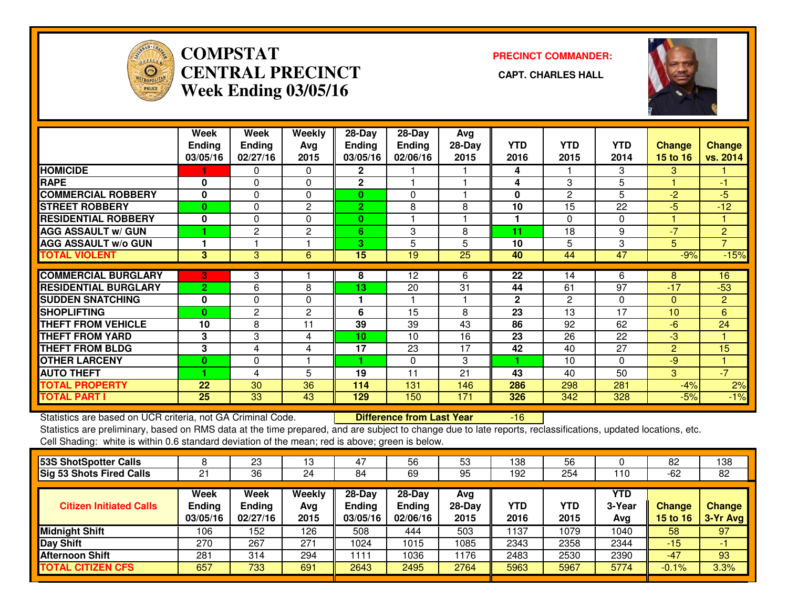

# **COMPSTAT PRECINCT COMMANDER: CENTRAL PRECINCT CAPT. CHARLES HALLWeek Ending 03/05/16**



|                             | Week<br><b>Ending</b> | Week<br><b>Ending</b> | Weekly<br>Avg  | 28-Day<br><b>Ending</b> | $28$ -Day<br><b>Ending</b> | Avg<br>$28-Day$ | <b>YTD</b>   | <b>YTD</b>     | <b>YTD</b>      | Change          | <b>Change</b>  |
|-----------------------------|-----------------------|-----------------------|----------------|-------------------------|----------------------------|-----------------|--------------|----------------|-----------------|-----------------|----------------|
|                             | 03/05/16              | 02/27/16              | 2015           | 03/05/16                | 02/06/16                   | 2015            | 2016         | 2015           | 2014            | <b>15 to 16</b> | vs. 2014       |
| <b>HOMICIDE</b>             |                       | 0                     | $\Omega$       | $\mathbf{2}$            |                            |                 | 4            |                | 3               | 3               |                |
| <b>RAPE</b>                 | 0                     | 0                     | $\Omega$       | $\mathbf 2$             |                            |                 | 4            | 3              | 5               |                 | -1             |
| <b>COMMERCIAL ROBBERY</b>   | $\bf{0}$              | $\Omega$              | $\mathbf 0$    | 0                       | 0                          |                 | $\mathbf{0}$ | 2              | 5               | $-2$            | $-5$           |
| <b>ISTREET ROBBERY</b>      | $\bf{0}$              | $\Omega$              | 2              | $\overline{2}$          | 8                          | 8               | 10           | 15             | 22              | $-5$            | $-12$          |
| <b>RESIDENTIAL ROBBERY</b>  | $\bf{0}$              | $\Omega$              | $\Omega$       | $\bf{0}$                |                            |                 |              | $\Omega$       | $\Omega$        |                 |                |
| <b>AGG ASSAULT w/ GUN</b>   |                       | 2                     | 2              | 6                       | 3                          | 8               | 11           | 18             | 9               | $-7$            | $\overline{2}$ |
| <b>AGG ASSAULT w/o GUN</b>  |                       |                       |                | 3                       | 5                          | 5               | 10           | 5              | 3               | 5               | $\overline{7}$ |
| <b>TOTAL VIOLENT</b>        | 3                     | 3                     | 6              | 15                      | 19                         | 25              | 40           | 44             | 47              | $-9%$           | $-15%$         |
|                             |                       |                       |                |                         |                            |                 |              |                |                 |                 |                |
| <b>COMMERCIAL BURGLARY</b>  | 3                     | 3                     |                | 8                       | 12                         | 6               | 22           | 14             | 6               | 8               | 16             |
| <b>RESIDENTIAL BURGLARY</b> | $\overline{2}$        | 6                     | 8              | 13                      | 20                         | 31              | 44           | 61             | $\overline{97}$ | $-17$           | $-53$          |
| <b>SUDDEN SNATCHING</b>     | 0                     | $\Omega$              | $\Omega$       | 1                       |                            |                 | $\mathbf{2}$ | $\overline{c}$ | $\Omega$        | $\Omega$        | $\overline{2}$ |
| <b>SHOPLIFTING</b>          | $\bf{0}$              | 2                     | $\overline{2}$ | 6                       | 15                         | 8               | 23           | 13             | 17              | 10              | 6              |
| <b>THEFT FROM VEHICLE</b>   | 10                    | 8                     | 11             | 39                      | 39                         | 43              | 86           | 92             | 62              | $-6$            | 24             |
| <b>THEFT FROM YARD</b>      | 3                     | 3                     | 4              | 10 <sup>1</sup>         | 10                         | 16              | 23           | 26             | 22              | $-3$            |                |
| <b>THEFT FROM BLDG</b>      | 3                     | 4                     | 4              | 17                      | $2\overline{3}$            | 17              | 42           | 40             | $\overline{27}$ | 2               | 15             |
| <b>OTHER LARCENY</b>        | 0                     | $\Omega$              |                |                         | $\Omega$                   | 3               | 1            | 10             | $\Omega$        | $-9$            |                |
| <b>AUTO THEFT</b>           |                       | 4                     | 5              | 19                      | 11                         | 21              | 43           | 40             | 50              | 3               | $-7$           |
| <b>TOTAL PROPERTY</b>       | 22                    | 30                    | 36             | 114                     | 131                        | 146             | 286          | 298            | 281             | $-4%$           | 2%             |
| <b>TOTAL PART I</b>         | 25                    | 33                    | 43             | 129                     | 150                        | 171             | 326          | 342            | 328             | $-5%$           | $-1%$          |

Statistics are based on UCR criteria, not GA Criminal Code. **Difference from Last Year** 

-16

|                                   | 23                                | 13                    | 47                                  | 56                                    | 53                    | 138                | 56          |                      | 82                        | 138                       |
|-----------------------------------|-----------------------------------|-----------------------|-------------------------------------|---------------------------------------|-----------------------|--------------------|-------------|----------------------|---------------------------|---------------------------|
| 21                                | 36                                | 24                    | 84                                  | 69                                    | 95                    | 192                | 254         | 110                  | $-62$                     | 82                        |
| Week<br><b>Ending</b><br>03/05/16 | Week<br><b>Ending</b><br>02/27/16 | Weekly<br>Avg<br>2015 | 28-Day<br><b>Endina</b><br>03/05/16 | $28-Dav$<br><b>Ending</b><br>02/06/16 | Avg<br>28-Day<br>2015 | <b>YTD</b><br>2016 | YTD<br>2015 | YTD<br>3-Year<br>Avg | Change<br><b>15 to 16</b> | <b>Change</b><br>3-Yr Avg |
| 106                               | 152                               | 126                   | 508                                 | 444                                   | 503                   | 1137               | 1079        | 1040                 | 58                        | 97                        |
| 270                               | 267                               | 271                   | 1024                                | 1015                                  | 1085                  | 2343               | 2358        | 2344                 | $-15$                     | - 1                       |
| 281                               | 314                               | 294                   | 1111                                | 036                                   | 1176                  | 2483               | 2530        | 2390                 | $-47$                     | 93                        |
| 657                               | 733                               | 691                   | 2643                                | 2495                                  | 2764                  | 5963               | 5967        | 5774                 | $-0.1%$                   | 3.3%                      |
|                                   |                                   |                       |                                     |                                       |                       |                    |             |                      |                           |                           |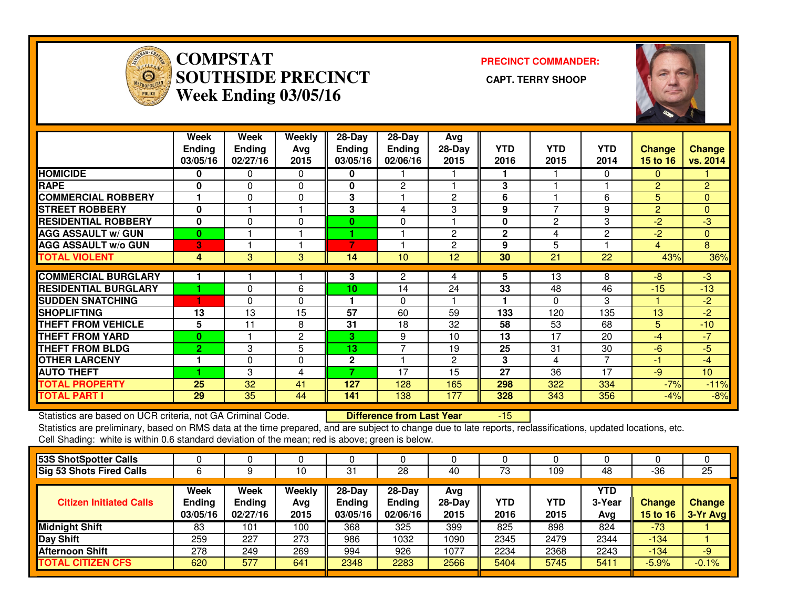

## **COMPSTAT PRECINCT COMMANDER: SOUTHSIDE PRECINCT CAPT. TERRY SHOOPWeek Ending 03/05/16**



|                              | Week<br><b>Ending</b><br>03/05/16 | Week<br><b>Ending</b><br>02/27/16 | Weekly<br>Avg<br>2015 | $28 - Day$<br>Ending<br>03/05/16 | $28 - Day$<br><b>Ending</b><br>02/06/16 | Avg<br>$28-Day$<br>2015 | <b>YTD</b><br>2016 | <b>YTD</b><br>2015 | YTD<br>2014    | <b>Change</b><br>15 to $16$ | <b>Change</b><br>vs. 2014 |
|------------------------------|-----------------------------------|-----------------------------------|-----------------------|----------------------------------|-----------------------------------------|-------------------------|--------------------|--------------------|----------------|-----------------------------|---------------------------|
| <b>HOMICIDE</b>              | 0                                 | 0                                 | 0                     | 0                                |                                         |                         | 1                  |                    | 0              | 0                           |                           |
| <b>RAPE</b>                  | 0                                 | 0                                 | $\mathbf{0}$          | 0                                | 2                                       |                         | 3                  |                    |                | $\overline{2}$              | $\overline{2}$            |
| <b>COMMERCIAL ROBBERY</b>    |                                   | $\Omega$                          | $\Omega$              | 3                                |                                         | $\overline{2}$          | 6                  |                    | 6              | 5                           | $\Omega$                  |
| <b>STREET ROBBERY</b>        | $\mathbf 0$                       |                                   |                       | 3                                | 4                                       | 3                       | 9                  | 7                  | 9              | $\overline{2}$              | $\mathbf{0}$              |
| <b>RESIDENTIAL ROBBERY</b>   | 0                                 | $\mathbf{0}$                      | 0                     | 0                                | $\mathbf 0$                             |                         | $\mathbf 0$        | 2                  | 3              | $-2$                        | $-3$                      |
| <b>AGG ASSAULT w/ GUN</b>    | $\bf{0}$                          |                                   |                       |                                  |                                         | $\mathbf{2}$            | $\mathbf{2}$       | 4                  | $\overline{2}$ | $-2$                        | $\mathbf{0}$              |
| <b>AGG ASSAULT w/o GUN</b>   | 3                                 |                                   |                       | 7                                |                                         | 2                       | 9                  | 5                  |                | 4                           | 8                         |
| <b>TOTAL VIOLENT</b>         | 4                                 | 3                                 | 3                     | 14                               | 10                                      | 12                      | 30                 | 21                 | 22             | 43%                         | 36%                       |
|                              |                                   |                                   |                       |                                  |                                         |                         |                    |                    |                |                             |                           |
| <b>COMMERCIAL BURGLARY</b>   |                                   |                                   |                       | 3                                | 2                                       | 4                       | 5                  | 13                 | 8              | -8                          | $-3$                      |
| <b>IRESIDENTIAL BURGLARY</b> |                                   | $\Omega$                          | 6                     | 10                               | 14                                      | 24                      | 33                 | 48                 | 46             | $-15$                       | $-13$                     |
| <b>SUDDEN SNATCHING</b>      | 1                                 | 0                                 | 0                     | 1                                | $\Omega$                                |                         | ۴                  | 0                  | 3              |                             | $-2$                      |
| <b>SHOPLIFTING</b>           | 13                                | 13                                | 15                    | 57                               | 60                                      | 59                      | 133                | 120                | 135            | 13                          | $-2$                      |
| <b>THEFT FROM VEHICLE</b>    | 5                                 | 11                                | 8                     | 31                               | 18                                      | 32                      | 58                 | 53                 | 68             | 5.                          | $-10$                     |
| <b>THEFT FROM YARD</b>       | $\bf{0}$                          |                                   | $\mathbf{2}$          | 3.                               | 9                                       | 10                      | 13                 | 17                 | 20             | $-4$                        | $-7$                      |
| <b>THEFT FROM BLDG</b>       | $\overline{2}$                    | 3                                 | 5                     | 13                               | 7                                       | 19                      | 25                 | 31                 | 30             | $-6$                        | $-5$                      |
| <b>OTHER LARCENY</b>         |                                   | $\Omega$                          | 0                     | $\mathbf{2}$                     |                                         | 2                       | 3                  | 4                  | $\overline{7}$ | -1                          | $-4$                      |
| <b>AUTO THEFT</b>            |                                   | 3                                 | 4                     | ⇁                                | 17                                      | 15                      | 27                 | 36                 | 17             | -9                          | 10 <sup>1</sup>           |
| <b>TOTAL PROPERTY</b>        | 25                                | 32                                | 41                    | 127                              | 128                                     | 165                     | 298                | 322                | 334            | $-7%$                       | $-11%$                    |
| <b>TOTAL PART I</b>          | 29                                | 35                                | 44                    | 141                              | 138                                     | 177                     | 328                | 343                | 356            | $-4%$                       | $-8%$                     |

Statistics are based on UCR criteria, not GA Criminal Code. **Difference from Last Year** 

-15

| 53S ShotSpotter Calls           |                                          |                                   |                       |                                     |                                       |                         |             |             |                      |                    |                    |
|---------------------------------|------------------------------------------|-----------------------------------|-----------------------|-------------------------------------|---------------------------------------|-------------------------|-------------|-------------|----------------------|--------------------|--------------------|
| <b>Sig 53 Shots Fired Calls</b> |                                          |                                   | 10                    | -31                                 | 28                                    | 40                      | 73          | 109         | 48                   | $-36$              | 25                 |
| <b>Citizen Initiated Calls</b>  | <b>Week</b><br><b>Ending</b><br>03/05/16 | Week<br><b>Ending</b><br>02/27/16 | Weekly<br>Avg<br>2015 | 28-Day<br><b>Endina</b><br>03/05/16 | $28-Day$<br><b>Ending</b><br>02/06/16 | Avg<br>$28-Day$<br>2015 | YTD<br>2016 | YTD<br>2015 | YTD<br>3-Year<br>Avg | Change<br>15 to 16 | Change<br>3-Yr Avg |
| <b>Midnight Shift</b>           | 83                                       | 101                               | 100                   | 368                                 | 325                                   | 399                     | 825         | 898         | 824                  | $-73$              |                    |
| <b>Day Shift</b>                | 259                                      | 227                               | 273                   | 986                                 | 1032                                  | 1090                    | 2345        | 2479        | 2344                 | $-134$             |                    |
| <b>Afternoon Shift</b>          | 278                                      | 249                               | 269                   | 994                                 | 926                                   | 1077                    | 2234        | 2368        | 2243                 | $-134$             | -9                 |
| <b>TOTAL CITIZEN CFS</b>        | 620                                      | 577                               | 641                   | 2348                                | 2283                                  | 2566                    | 5404        | 5745        | 5411                 | $-5.9%$            | $-0.1%$            |